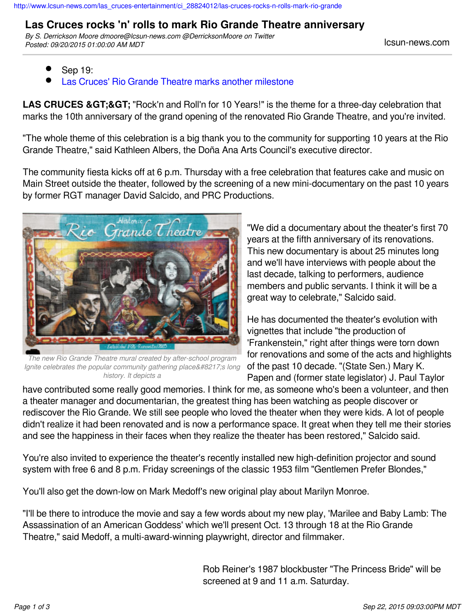## **Las Cruces rocks 'n' rolls to mark Rio Grande Theatre anniversary**

*By S. Derrickson Moore dmoore@lcsun-news.com @DerricksonMoore on Twitter Posted: 09/20/2015 01:00:00 AM MDT* lcsun-news.com

- Sep 19:
- [Las Cruces' Rio Grande Theatre marks another milestone](http://www.lcsun-news.com/las_cruces-news/ci_28844161/las-cruces-rio-grande-theatre-marks-another-milestone?source=pkg)

**LAS CRUCES & GT;& GT;** "Rock'n and Roll'n for 10 Years!" is the theme for a three-day celebration that marks the 10th anniversary of the grand opening of the renovated Rio Grande Theatre, and you're invited.

"The whole theme of this celebration is a big thank you to the community for supporting 10 years at the Rio Grande Theatre," said Kathleen Albers, the Doña Ana Arts Council's executive director.

The community fiesta kicks off at 6 p.m. Thursday with a free celebration that features cake and music on Main Street outside the theater, followed by the screening of a new mini-documentary on the past 10 years by former RGT manager David Salcido, and PRC Productions.



*The new Rio Grande Theatre mural created by after-school program Ignite celebrates the popular community gathering place's long history. It depicts a*

"We did a documentary about the theater's first 70 years at the fifth anniversary of its renovations. This new documentary is about 25 minutes long and we'll have interviews with people about the last decade, talking to performers, audience members and public servants. I think it will be a great way to celebrate," Salcido said.

He has documented the theater's evolution with vignettes that include "the production of 'Frankenstein," right after things were torn down for renovations and some of the acts and highlights of the past 10 decade. "(State Sen.) Mary K. Papen and (former state legislator) J. Paul Taylor

have contributed some really good memories. I think for me, as someone who's been a volunteer, and then a theater manager and documentarian, the greatest thing has been watching as people discover or rediscover the Rio Grande. We still see people who loved the theater when they were kids. A lot of people didn't realize it had been renovated and is now a performance space. It great when they tell me their stories and see the happiness in their faces when they realize the theater has been restored," Salcido said.

You're also invited to experience the theater's recently installed new high-definition projector and sound system with free 6 and 8 p.m. Friday screenings of the classic 1953 film "Gentlemen Prefer Blondes,"

You'll also get the down-low on Mark Medoff's new original play about Marilyn Monroe.

"I'll be there to introduce the movie and say a few words about my new play, 'Marilee and Baby Lamb: The Assassination of an American Goddess' which we'll present Oct. 13 through 18 at the Rio Grande Theatre," said Medoff, a multi-award-winning playwright, director and filmmaker.

> Rob Reiner's 1987 blockbuster "The Princess Bride" will be screened at 9 and 11 a.m. Saturday.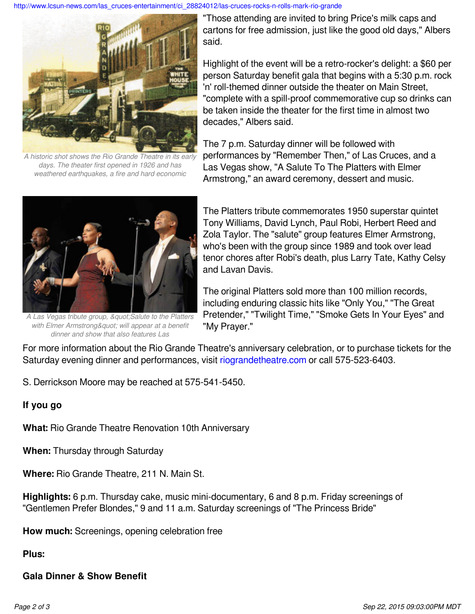[http://www.lcsun-news.com/las\\_cruces-entertainment/ci\\_28824012/las-cruces-rocks-n-rolls-mark-rio-grande](http://www.lcsun-news.com/las_cruces-entertainment/ci_28824012/las-cruces-rocks-n-rolls-mark-rio-grande)



*A historic shot shows the Rio Grande Theatre in its early days. The theater first opened in 1926 and has weathered earthquakes, a fire and hard economic*

"Those attending are invited to bring Price's milk caps and cartons for free admission, just like the good old days," Albers said.

Highlight of the event will be a retro-rocker's delight: a \$60 per person Saturday benefit gala that begins with a 5:30 p.m. rock 'n' roll-themed dinner outside the theater on Main Street, "complete with a spill-proof commemorative cup so drinks can be taken inside the theater for the first time in almost two decades," Albers said.

The 7 p.m. Saturday dinner will be followed with performances by "Remember Then," of Las Cruces, and a Las Vegas show, "A Salute To The Platters with Elmer Armstrong," an award ceremony, dessert and music.



A Las Vegas tribute group, & *guot*; Salute to the Platters with Elmer Armstrong" will appear at a benefit *dinner and show that also features Las*

The Platters tribute commemorates 1950 superstar quintet Tony Williams, David Lynch, Paul Robi, Herbert Reed and Zola Taylor. The "salute" group features Elmer Armstrong, who's been with the group since 1989 and took over lead tenor chores after Robi's death, plus Larry Tate, Kathy Celsy and Lavan Davis.

The original Platters sold more than 100 million records, including enduring classic hits like "Only You," "The Great Pretender," "Twilight Time," "Smoke Gets In Your Eyes" and "My Prayer."

For more information about the Rio Grande Theatre's anniversary celebration, or to purchase tickets for the Saturday evening dinner and performances, visit [riograndetheatre.com](http://riograndetheatre.com) or call 575-523-6403.

S. Derrickson Moore may be reached at 575-541-5450.

## **If you go**

**What:** Rio Grande Theatre Renovation 10th Anniversary

**When:** Thursday through Saturday

**Where:** Rio Grande Theatre, 211 N. Main St.

**Highlights:** 6 p.m. Thursday cake, music mini-documentary, 6 and 8 p.m. Friday screenings of "Gentlemen Prefer Blondes," 9 and 11 a.m. Saturday screenings of "The Princess Bride"

**How much:** Screenings, opening celebration free

**Plus:**

## **Gala Dinner & Show Benefit**